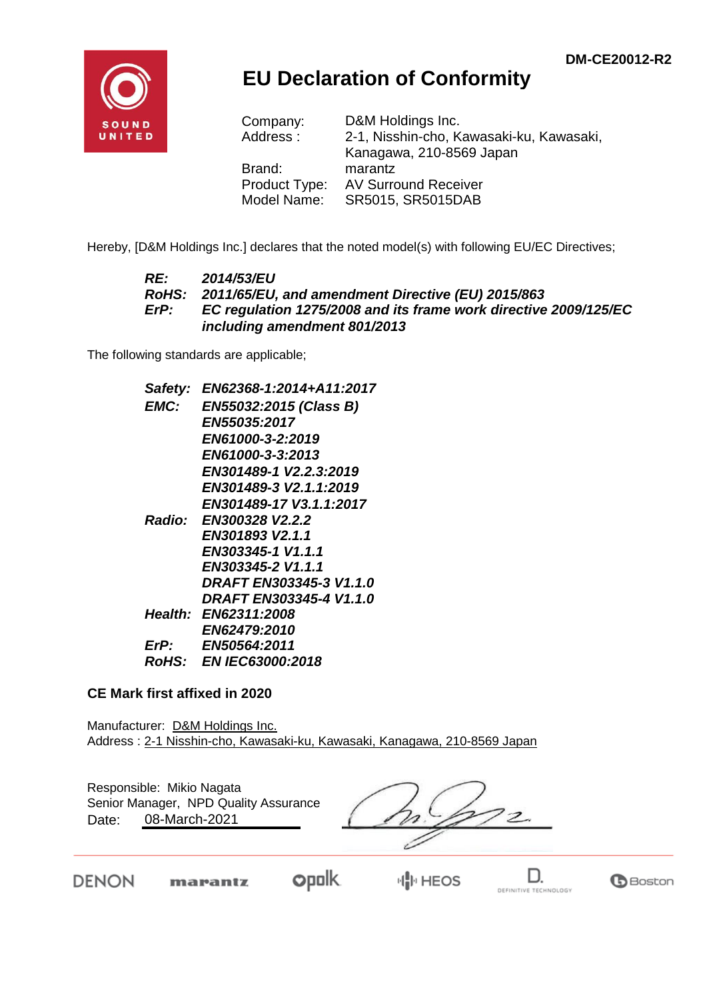**G**Boston

DEFINITIVE TECHNOLOGY



## **EU Declaration of Conformity**

| Company:      | D&M Holdings Inc.                        |
|---------------|------------------------------------------|
| Address:      | 2-1, Nisshin-cho, Kawasaki-ku, Kawasaki, |
|               | Kanagawa, 210-8569 Japan                 |
| Brand:        | marantz                                  |
| Product Type: | <b>AV Surround Receiver</b>              |
| Model Name:   | SR5015, SR5015DAB                        |

Hereby, [D&M Holdings Inc.] declares that the noted model(s) with following EU/EC Directives;

#### *RE: 2014/53/EU RoHS: 2011/65/EU, and amendment Directive (EU) 2015/863 ErP: EC regulation 1275/2008 and its frame work directive 2009/125/EC including amendment 801/2013*

The following standards are applicable;

| Safety:     | EN62368-1:2014+A11:2017        |
|-------------|--------------------------------|
| <b>EMC:</b> | EN55032:2015 (Class B)         |
|             | <b>EN55035:2017</b>            |
|             | EN61000-3-2:2019               |
|             | EN61000-3-3:2013               |
|             | EN301489-1 V2.2.3:2019         |
|             | EN301489-3 V2.1.1:2019         |
|             | EN301489-17 V3.1.1:2017        |
|             | Radio: EN300328 V2.2.2         |
|             | EN301893 V2.1.1                |
|             | EN303345-1 V1.1.1              |
|             | EN303345-2 V1.1.1              |
|             | <b>DRAFT EN303345-3 V1.1.0</b> |
|             | DRAFT EN303345-4 V1.1.0        |
|             | Health: EN62311:2008           |
|             | EN62479:2010                   |
| ErP:        | <b>EN50564:2011</b>            |
|             | RoHS: EN IEC63000:2018         |

#### **CE Mark first affixed in 2020**

Manufacturer: D&M Holdings Inc. Address : 2-1 Nisshin-cho, Kawasaki-ku, Kawasaki, Kanagawa, 210-8569 Japan

| Date: | Responsible: Mikio Nagata<br>Senior Manager, NPD Quality Assurance<br>08-March-2021 |             |  |
|-------|-------------------------------------------------------------------------------------|-------------|--|
|       |                                                                                     | <b>HEOS</b> |  |